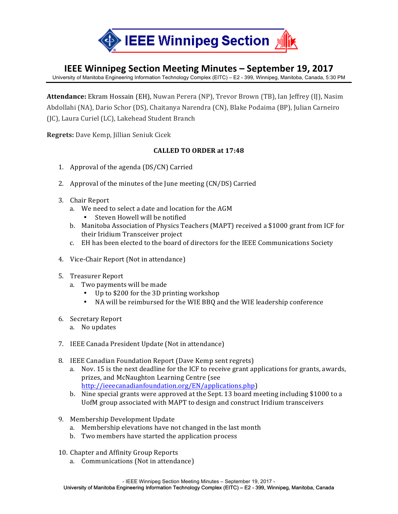

## **IEEE Winnipeg Section Meeting Minutes – September 19, 2017**

University of Manitoba Engineering Information Technology Complex (EITC) – E2 - 399, Winnipeg, Manitoba, Canada, 5:30 PM

Attendance: Ekram Hossain (EH), Nuwan Perera (NP), Trevor Brown (TB), Ian Jeffrey (IJ), Nasim Abdollahi (NA), Dario Schor (DS), Chaitanya Narendra (CN), Blake Podaima (BP), Julian Carneiro (IC), Laura Curiel (LC), Lakehead Student Branch

**Regrets:** Dave Kemp, Jillian Seniuk Cicek

## **CALLED TO ORDER at 17:48**

- 1. Approval of the agenda  $(DS/CN)$  Carried
- 2. Approval of the minutes of the June meeting  $(CN/DS)$  Carried
- 3. Chair Report
	- a. We need to select a date and location for the AGM
		- Steven Howell will be notified
	- b. Manitoba Association of Physics Teachers (MAPT) received a \$1000 grant from ICF for their Iridium Transceiver project
	- c. EH has been elected to the board of directors for the IEEE Communications Society
- 4. Vice-Chair Report (Not in attendance)
- 5. Treasurer Report
	- a. Two payments will be made
		- Up to \$200 for the 3D printing workshop
		- NA will be reimbursed for the WIE BBQ and the WIE leadership conference
- 6. Secretary Report
	- a. No updates
- 7. IEEE Canada President Update (Not in attendance)
- 8. IEEE Canadian Foundation Report (Dave Kemp sent regrets)
	- a. Nov. 15 is the next deadline for the ICF to receive grant applications for grants, awards, prizes, and McNaughton Learning Centre (see http://ieeecanadianfoundation.org/EN/applications.php)
	- b. Nine special grants were approved at the Sept. 13 board meeting including \$1000 to a UofM group associated with MAPT to design and construct Iridium transceivers
- 9. Membership Development Update
	- a. Membership elevations have not changed in the last month
	- b. Two members have started the application process
- 10. Chapter and Affinity Group Reports
	- a. Communications (Not in attendance)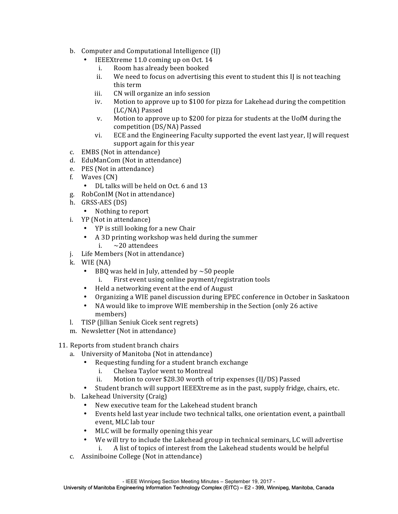- b. Computer and Computational Intelligence (II)
	- IEEEXtreme 11.0 coming up on Oct. 14
		- i. Room has already been booked
		- ii. We need to focus on advertising this event to student this  $\iint$  is not teaching this term
		- iii. CN will organize an info session
		- iv. Motion to approve up to  $$100$  for pizza for Lakehead during the competition (LC/NA) Passed
		- v. Motion to approve up to \$200 for pizza for students at the UofM during the competition (DS/NA) Passed
		- vi. ECE and the Engineering Faculty supported the event last year, IJ will request support again for this year
- c. EMBS (Not in attendance)
- d. EduManCom (Not in attendance)
- e. PES (Not in attendance)
- f. Waves (CN)
	- DL talks will be held on Oct. 6 and 13
- g. RobConIM (Not in attendance)
- h. GRSS-AES (DS)
	- Nothing to report
- i. YP (Not in attendance)
	- YP is still looking for a new Chair
	- A 3D printing workshop was held during the summer i.  $\sim$  20 attendees
- j. Life Members (Not in attendance)
- k. WIE (NA)
	- BBQ was held in July, attended by  $\sim$  50 people
		- First event using online payment/registration tools
	- Held a networking event at the end of August
	- Organizing a WIE panel discussion during EPEC conference in October in Saskatoon
	- NA would like to improve WIE membership in the Section (only 26 active members)
- l. TISP (Jillian Seniuk Cicek sent regrets)
- m. Newsletter (Not in attendance)
- 11. Reports from student branch chairs
	- a. University of Manitoba (Not in attendance)
		- Requesting funding for a student branch exchange
			- i. Chelsea Taylor went to Montreal
			- ii. Motion to cover \$28.30 worth of trip expenses (IJ/DS) Passed
		- Student branch will support IEEEXtreme as in the past, supply fridge, chairs, etc.
	- b. Lakehead University (Craig)
		- New executive team for the Lakehead student branch
		- Events held last year include two technical talks, one orientation event, a paintball event, MLC lab tour
		- MLC will be formally opening this year
		- We will try to include the Lakehead group in technical seminars, LC will advertise i. A list of topics of interest from the Lakehead students would be helpful
	- c. Assiniboine College (Not in attendance)